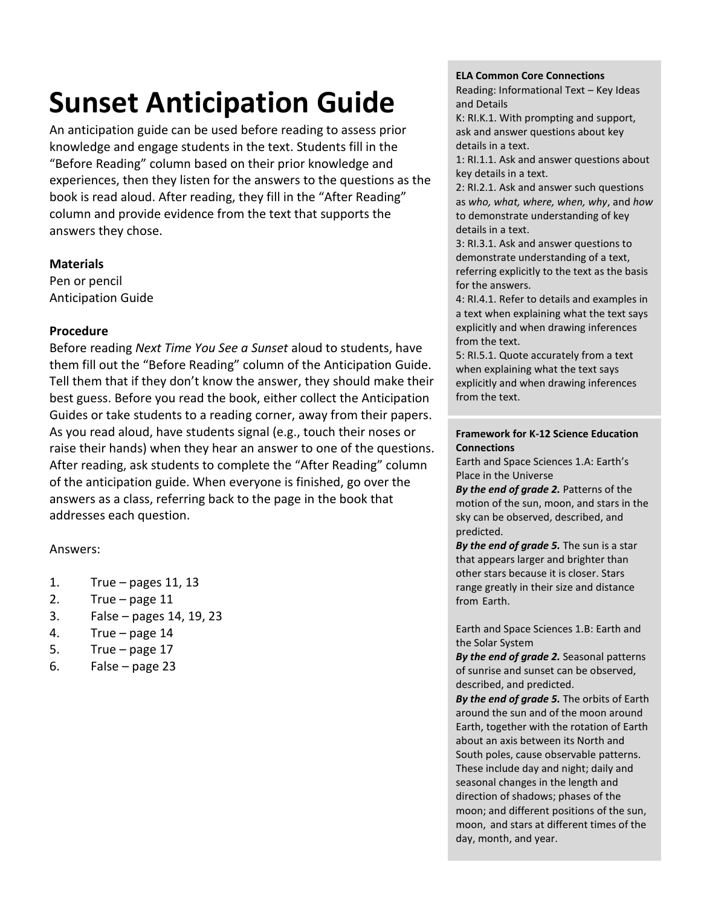# **Sunset Anticipation Guide**

An anticipation guide can be used before reading to assess prior knowledge and engage students in the text. Students fill in the "Before Reading" column based on their prior knowledge and experiences, then they listen for the answers to the questions as the book is read aloud. After reading, they fill in the "After Reading" column and provide evidence from the text that supports the answers they chose.

### **Materials**

Pen or pencil Anticipation Guide

## **Procedure**

Before reading *Next Time You See a Sunset* aloud to students, have them fill out the "Before Reading" column of the Anticipation Guide. Tell them that if they don't know the answer, they should make their best guess. Before you read the book, either collect the Anticipation Guides or take students to a reading corner, away from their papers. As you read aloud, have students signal (e.g., touch their noses or raise their hands) when they hear an answer to one of the questions. After reading, ask students to complete the "After Reading" column of the anticipation guide. When everyone is finished, go over the answers as a class, referring back to the page in the book that addresses each question.

### Answers:

- 1. True pages 11, 13
- 2. True page 11
- 3. False pages 14, 19, 23
- 4. True page 14
- 5. True page 17
- 6. False page  $23$

#### **ELA Common Core Connections**

Reading: Informational Text – Key Ideas and Details

K: RI.K.1. With prompting and support, ask and answer questions about key details in a text.

1: RI.1.1. Ask and answer questions about key details in a text.

2: RI.2.1. Ask and answer such questions as *who, what, where, when, why*, and *how* to demonstrate understanding of key details in a text.

3: RI.3.1. Ask and answer questions to demonstrate understanding of a text, referring explicitly to the text as the basis for the answers.

4: RI.4.1. Refer to details and examples in a text when explaining what the text says explicitly and when drawing inferences from the text.

5: RI.5.1. Quote accurately from a text when explaining what the text says explicitly and when drawing inferences from the text.

#### **Framework for K-12 Science Education Connections**

Earth and Space Sciences 1.A: Earth's Place in the Universe

*By the end of grade 2.* Patterns of the motion of the sun, moon, and stars in the sky can be observed, described, and predicted.

*By the end of grade 5.* The sun is a star that appears larger and brighter than other stars because it is closer. Stars range greatly in their size and distance from Earth.

Earth and Space Sciences 1.B: Earth and the Solar System

*By the end of grade 2.* Seasonal patterns of sunrise and sunset can be observed, described, and predicted.

*By the end of grade 5.* The orbits of Earth around the sun and of the moon around Earth, together with the rotation of Earth about an axis between its North and South poles, cause observable patterns. These include day and night; daily and seasonal changes in the length and direction of shadows; phases of the moon; and different positions of the sun, moon, and stars at different times of the day, month, and year.